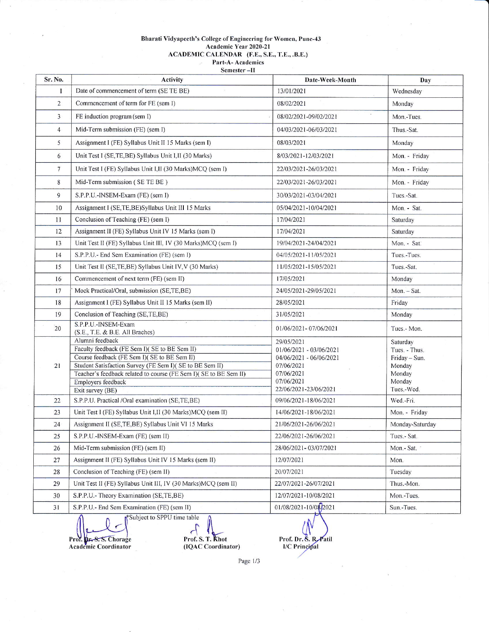## Bharati Vidyapeeth's College of Engineering for Women, Pune-43 Academic Year 2020-21 ACADEMIC CALENDAR (F.E., S.E., T.E., .B.E.) Part-A-Academics Semester-II

| Sr. No.                 | Activity                                                                                                                                                                                                                                                                                    | Date-Week-Month                                                                                                                     | Day                                                                                    |
|-------------------------|---------------------------------------------------------------------------------------------------------------------------------------------------------------------------------------------------------------------------------------------------------------------------------------------|-------------------------------------------------------------------------------------------------------------------------------------|----------------------------------------------------------------------------------------|
| 1                       | Date of commencement of term (SE TE BE)                                                                                                                                                                                                                                                     | 13/01/2021                                                                                                                          | Wednesday                                                                              |
| $\overline{2}$          | Commencement of term for FE (sem I)                                                                                                                                                                                                                                                         | 08/02/2021                                                                                                                          | Monday                                                                                 |
| $\overline{\mathbf{3}}$ | FE induction program (sem I)                                                                                                                                                                                                                                                                | 08/02/2021-09/02/2021                                                                                                               | Mon.-Tues.                                                                             |
| $\overline{4}$          | Mid-Term submission (FE) (sem I)                                                                                                                                                                                                                                                            | 04/03/2021-06/03/2021                                                                                                               | Thus.-Sat.                                                                             |
| 5                       | Assignment I (FE) Syllabus Unit II 15 Marks (sem I)                                                                                                                                                                                                                                         | 08/03/2021                                                                                                                          | Monday                                                                                 |
| 6                       | Unit Test I (SE, TE, BE) Syllabus Unit I, II (30 Marks)                                                                                                                                                                                                                                     | 8/03/2021-12/03/2021                                                                                                                | Mon. - Friday                                                                          |
| $\overline{7}$          | Unit Test I (FE) Syllabus Unit I, II (30 Marks) MCQ (sem I)                                                                                                                                                                                                                                 | 22/03/2021-26/03/2021                                                                                                               | Mon. - Friday                                                                          |
| 8                       | Mid-Term submission (SE TE BE)                                                                                                                                                                                                                                                              | 22/03/2021-26/03/2021                                                                                                               | Mon. - Friday                                                                          |
| 9                       | S.P.P.U.-INSEM-Exam (FE) (sem I)                                                                                                                                                                                                                                                            | 30/03/2021-03/04/2021                                                                                                               | Tues.-Sat.                                                                             |
| 10                      | Assignment I (SE, TE, BE) Syllabus Unit III 15 Marks                                                                                                                                                                                                                                        | 05/04/2021-10/04/2021                                                                                                               | Mon. - Sat.                                                                            |
| 11                      | Conclusion of Teaching (FE) (sem I)                                                                                                                                                                                                                                                         | 17/04/2021                                                                                                                          | Saturday                                                                               |
| 12                      | Assignment II (FE) Syllabus Unit IV 15 Marks (sem I)                                                                                                                                                                                                                                        | 17/04/2021                                                                                                                          | Saturday                                                                               |
| 13                      | Unit Test II (FE) Syllabus Unit III, IV (30 Marks)MCQ (sem I)                                                                                                                                                                                                                               | 19/04/2021-24/04/2021                                                                                                               | Mon. - Sat.                                                                            |
| 14                      | S.P.P.U.- End Sem Examination (FE) (sem I)                                                                                                                                                                                                                                                  | 04/05/2021-11/05/2021                                                                                                               | Tues.-Tues.                                                                            |
| 15                      | Unit Test II (SE, TE, BE) Syllabus Unit IV, V (30 Marks)                                                                                                                                                                                                                                    | 11/05/2021-15/05/2021                                                                                                               | Tues.-Sat.                                                                             |
| 16 <sup>°</sup>         | Commencement of next term (FE) (sem II)                                                                                                                                                                                                                                                     | 17/05/2021                                                                                                                          | Monday                                                                                 |
| 17                      | Mock Practical/Oral, submission (SE,TE,BE)                                                                                                                                                                                                                                                  | 24/05/2021-29/05/2021                                                                                                               | Mon. - Sat.                                                                            |
| 18                      | Assignment I (FE) Syllabus Unit II 15 Marks (sem II)                                                                                                                                                                                                                                        | 28/05/2021                                                                                                                          | Friday                                                                                 |
| 19                      | Conclusion of Teaching (SE,TE,BE)                                                                                                                                                                                                                                                           | 31/05/2021                                                                                                                          | Monday                                                                                 |
| 20                      | S.P.P.U.-INSEM-Exam<br>(S.E., T.E. & B.E. All Braches)                                                                                                                                                                                                                                      | 01/06/2021-07/06/2021                                                                                                               | Tues.- Mon.                                                                            |
| 21                      | Alumni feedback<br>Faculty feedback (FE Sem I)( SE to BE Sem II)<br>Course feedback (FE Sem I)( SE to BE Sem II)<br>Student Satisfaction Survey (FE Sem I)( SE to BE Sem II)<br>Teacher's feedback related to course (FE Sem I)( SE to BE Sem II)<br>Employers feedback<br>Exit survey (BE) | 29/05/2021<br>01/06/2021 - 03/06/2021<br>04/06/2021 - 06/06/2021<br>07/06/2021<br>07/06/2021<br>07/06/2021<br>22/06/2021-23/06/2021 | Saturday<br>Tues. - Thus.<br>Friday - Sun.<br>Monday<br>Monday<br>Monday<br>Tues.-Wed. |
| 22                      | S.P.P.U. Practical /Oral examination (SE,TE,BE)                                                                                                                                                                                                                                             | 09/06/2021-18/06/2021                                                                                                               | Wed.-Fri.                                                                              |
| 23                      | Unit Test I (FE) Syllabus Unit I, II (30 Marks) MCO (sem II)                                                                                                                                                                                                                                | 14/06/2021-18/06/2021                                                                                                               | Mon. - Friday                                                                          |
| 24                      | Assignment II (SE, TE, BE) Syllabus Unit VI 15 Marks                                                                                                                                                                                                                                        | 21/06/2021-26/06/2021                                                                                                               | Monday-Saturday                                                                        |
| 25                      | S.P.P.U.-INSEM-Exam (FE) (sem II)                                                                                                                                                                                                                                                           | 22/06/2021-26/06/2021                                                                                                               | Tues.- Sat.                                                                            |
| 26                      | Mid-Term submission (FE) (sem II)                                                                                                                                                                                                                                                           | 28/06/2021-03/07/2021                                                                                                               | Mon.- Sat.                                                                             |
| 27                      | Assignment II (FE) Syllabus Unit IV 15 Marks (sem II)                                                                                                                                                                                                                                       | 12/07/2021                                                                                                                          | Mon.                                                                                   |
| 28                      | Conclusion of Teaching (FE) (sem II)                                                                                                                                                                                                                                                        | 20/07/2021                                                                                                                          | Tuesday                                                                                |
| 29                      | Unit Test II (FE) Syllabus Unit III, IV (30 Marks) MCQ (sem II)                                                                                                                                                                                                                             | 22/07/2021-26/07/2021                                                                                                               | Thus.-Mon.                                                                             |
| 30                      | S.P.P.U.- Theory Examination (SE,TE,BE)                                                                                                                                                                                                                                                     | 12/07/2021-10/08/2021                                                                                                               | Mon.-Tues.                                                                             |
| 31                      | S.P.P.U.- End Sem Examination (FE) (sem II)                                                                                                                                                                                                                                                 | 01/08/2021-10/08/2021                                                                                                               | Sun.-Tues.                                                                             |
|                         | Subject to SPPU time table<br>$\Lambda$                                                                                                                                                                                                                                                     |                                                                                                                                     |                                                                                        |

Prol. pr. S. S. Chorage<br>Academic Coordinator

C Prof. S. T. Khot<br>(IQAC Coordinator)

Prof. Dr. S. R. Patil<br>I/C Principal

Page 1/3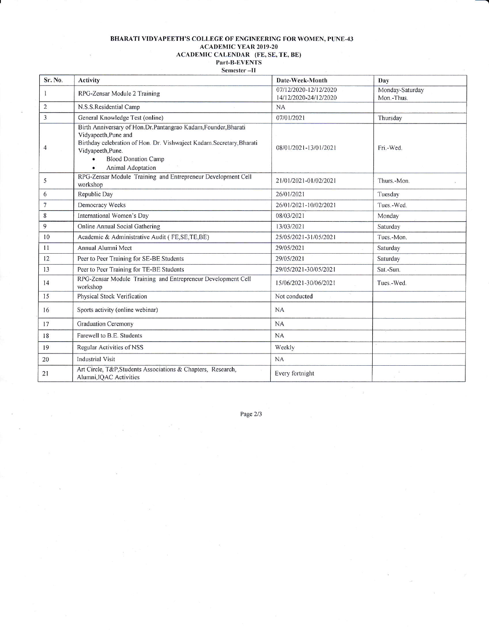## BHARATI VIDYAPEETH'S COLLEGE OF ENGINEERING FOR WOMEN, PUNE-43 ACADEMIC YEAR 2019-20<br>ACADEMIC CALENDAR (FE, SE, TE, BE) Part-B-EVENTS Semester $-\mathbf{H}$

| Sr. No.        | <b>Activity</b>                                                                                                                                                                                                                      | Date-Week-Month                                | Day                           |
|----------------|--------------------------------------------------------------------------------------------------------------------------------------------------------------------------------------------------------------------------------------|------------------------------------------------|-------------------------------|
| 1              | RPG-Zensar Module 2 Training                                                                                                                                                                                                         | 07/12/2020-12/12/2020<br>14/12/2020-24/12/2020 | Monday-Saturday<br>Mon.-Thus. |
| $\overline{2}$ | N.S.S.Residential Camp                                                                                                                                                                                                               | <b>NA</b>                                      |                               |
| $\overline{3}$ | General Knowledge Test (online)                                                                                                                                                                                                      | 07/01/2021                                     | Thursday                      |
| $\overline{4}$ | Birth Anniversary of Hon.Dr.Pantangrao Kadam,Founder,Bharati<br>Vidyapeeth, Pune and<br>Birthday celebration of Hon. Dr. Vishwajeet Kadam.Secretary, Bharati<br>Vidyapeeth, Pune.<br><b>Blood Donation Camp</b><br>Animal Adoptation | 08/01/2021-13/01/2021                          | Fri.-Wed.                     |
| 5              | RPG-Zensar Module Training and Entrepreneur Development Cell<br>workshop                                                                                                                                                             | 21/01/2021-01/02/2021                          | Thurs.-Mon.                   |
| 6              | Republic Day                                                                                                                                                                                                                         | 26/01/2021                                     | Tuesday                       |
| 7              | Democracy Weeks                                                                                                                                                                                                                      | 26/01/2021-10/02/2021                          | Tues.-Wed.                    |
| 8              | International Women's Day                                                                                                                                                                                                            | 08/03/2021                                     | Monday                        |
| 9              | Online Annual Social Gathering                                                                                                                                                                                                       | 13/03/2021                                     | Saturday                      |
| 10             | Academic & Administrative Audit (FE,SE,TE,BE)                                                                                                                                                                                        | 25/05/2021-31/05/2021                          | Tues.-Mon.                    |
| 11             | Annual Alumni Meet                                                                                                                                                                                                                   | 29/05/2021                                     | Saturday                      |
| 12             | Peer to Peer Training for SE-BE Students                                                                                                                                                                                             | 29/05/2021                                     | Saturday                      |
| 13             | Peer to Peer Training for TE-BE Students                                                                                                                                                                                             | 29/05/2021-30/05/2021                          | Sat.-Sun.                     |
| 14             | RPG-Zensar Module Training and Entrepreneur Development Cell<br>workshop                                                                                                                                                             | 15/06/2021-30/06/2021                          | Tues.-Wed.                    |
| 15             | Physical Stock Verification                                                                                                                                                                                                          | Not conducted                                  |                               |
| 16             | Sports activity (online webinar)                                                                                                                                                                                                     | <b>NA</b>                                      |                               |
| 17             | <b>Graduation Ceremony</b>                                                                                                                                                                                                           | <b>NA</b>                                      |                               |
| 18             | Farewell to B.E. Students                                                                                                                                                                                                            | NA                                             |                               |
| 19             | Regular Activities of NSS                                                                                                                                                                                                            | Weekly                                         |                               |
| 20             | <b>Industrial Visit</b>                                                                                                                                                                                                              | NA                                             |                               |
| 21             | Art Circle, T&P, Students Associations & Chapters, Research,<br>Alumni, IQAC Activities                                                                                                                                              | Every fortnight                                |                               |

Page 2/3